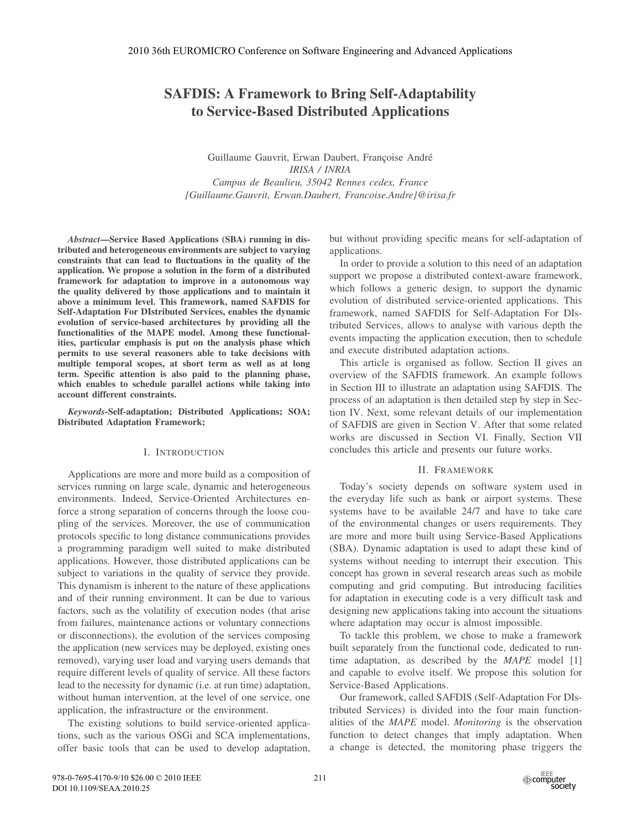# SAFDIS: A Framework to Bring Self-Adaptability to Service-Based Distributed Applications

Guillaume Gauvrit, Erwan Daubert, Françoise André *IRISA / INRIA Campus de Beaulieu, 35042 Rennes cedex, France {Guillaume.Gauvrit, Erwan.Daubert, Francoise.Andre}@irisa.fr*

*Abstract*—Service Based Applications (SBA) running in distributed and heterogeneous environments are subject to varying constraints that can lead to fluctuations in the quality of the application. We propose a solution in the form of a distributed framework for adaptation to improve in a autonomous way the quality delivered by those applications and to maintain it above a minimum level. This framework, named SAFDIS for Self-Adaptation For DIstributed Services, enables the dynamic evolution of service-based architectures by providing all the functionalities of the MAPE model. Among these functionalities, particular emphasis is put on the analysis phase which permits to use several reasoners able to take decisions with multiple temporal scopes, at short term as well as at long term. Specific attention is also paid to the planning phase, which enables to schedule parallel actions while taking into account different constraints.

*Keywords*-Self-adaptation; Distributed Applications; SOA; Distributed Adaptation Framework;

#### I. INTRODUCTION

Applications are more and more build as a composition of services running on large scale, dynamic and heterogeneous environments. Indeed, Service-Oriented Architectures enforce a strong separation of concerns through the loose coupling of the services. Moreover, the use of communication protocols specific to long distance communications provides a programming paradigm well suited to make distributed applications. However, those distributed applications can be subject to variations in the quality of service they provide. This dynamism is inherent to the nature of these applications and of their running environment. It can be due to various factors, such as the volatility of execution nodes (that arise from failures, maintenance actions or voluntary connections or disconnections), the evolution of the services composing the application (new services may be deployed, existing ones removed), varying user load and varying users demands that require different levels of quality of service. All these factors lead to the necessity for dynamic (i.e. at run time) adaptation, without human intervention, at the level of one service, one application, the infrastructure or the environment.

The existing solutions to build service-oriented applications, such as the various OSGi and SCA implementations, offer basic tools that can be used to develop adaptation, but without providing specific means for self-adaptation of applications.

In order to provide a solution to this need of an adaptation support we propose a distributed context-aware framework, which follows a generic design, to support the dynamic evolution of distributed service-oriented applications. This framework, named SAFDIS for Self-Adaptation For DIstributed Services, allows to analyse with various depth the events impacting the application execution, then to schedule and execute distributed adaptation actions.

This article is organised as follow. Section II gives an overview of the SAFDIS framework. An example follows in Section III to illustrate an adaptation using SAFDIS. The process of an adaptation is then detailed step by step in Section IV. Next, some relevant details of our implementation of SAFDIS are given in Section V. After that some related works are discussed in Section VI. Finally, Section VII concludes this article and presents our future works.

## II. FRAMEWORK

Today's society depends on software system used in the everyday life such as bank or airport systems. These systems have to be available 24/7 and have to take care of the environmental changes or users requirements. They are more and more built using Service-Based Applications (SBA). Dynamic adaptation is used to adapt these kind of systems without needing to interrupt their execution. This concept has grown in several research areas such as mobile computing and grid computing. But introducing facilities for adaptation in executing code is a very difficult task and designing new applications taking into account the situations where adaptation may occur is almost impossible.

To tackle this problem, we chose to make a framework built separately from the functional code, dedicated to runtime adaptation, as described by the *MAPE* model [1] and capable to evolve itself. We propose this solution for Service-Based Applications.

Our framework, called SAFDIS (Self-Adaptation For DIstributed Services) is divided into the four main functionalities of the *MAPE* model. *Monitoring* is the observation function to detect changes that imply adaptation. When a change is detected, the monitoring phase triggers the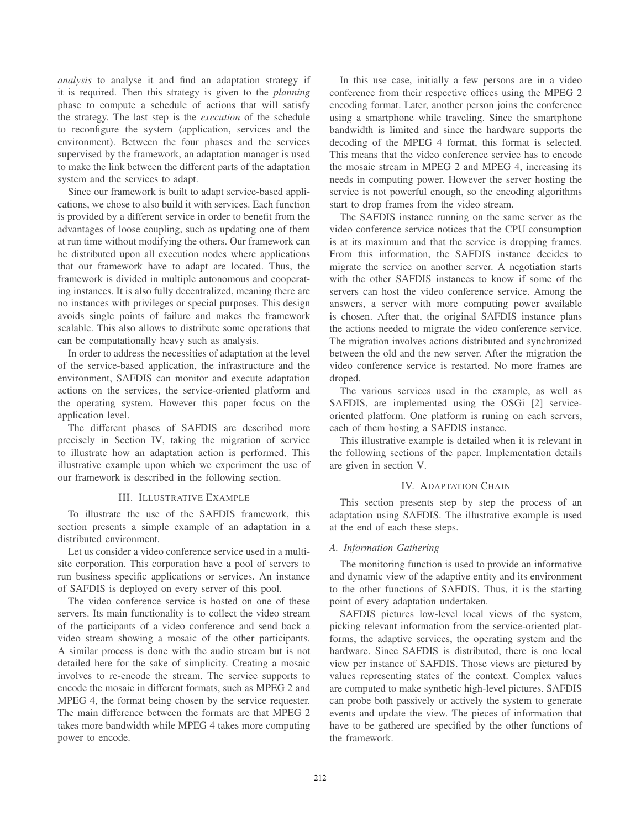*analysis* to analyse it and find an adaptation strategy if it is required. Then this strategy is given to the *planning* phase to compute a schedule of actions that will satisfy the strategy. The last step is the *execution* of the schedule to reconfigure the system (application, services and the environment). Between the four phases and the services supervised by the framework, an adaptation manager is used to make the link between the different parts of the adaptation system and the services to adapt.

Since our framework is built to adapt service-based applications, we chose to also build it with services. Each function is provided by a different service in order to benefit from the advantages of loose coupling, such as updating one of them at run time without modifying the others. Our framework can be distributed upon all execution nodes where applications that our framework have to adapt are located. Thus, the framework is divided in multiple autonomous and cooperating instances. It is also fully decentralized, meaning there are no instances with privileges or special purposes. This design avoids single points of failure and makes the framework scalable. This also allows to distribute some operations that can be computationally heavy such as analysis.

In order to address the necessities of adaptation at the level of the service-based application, the infrastructure and the environment, SAFDIS can monitor and execute adaptation actions on the services, the service-oriented platform and the operating system. However this paper focus on the application level.

The different phases of SAFDIS are described more precisely in Section IV, taking the migration of service to illustrate how an adaptation action is performed. This illustrative example upon which we experiment the use of our framework is described in the following section.

### III. ILLUSTRATIVE EXAMPLE

To illustrate the use of the SAFDIS framework, this section presents a simple example of an adaptation in a distributed environment.

Let us consider a video conference service used in a multisite corporation. This corporation have a pool of servers to run business specific applications or services. An instance of SAFDIS is deployed on every server of this pool.

The video conference service is hosted on one of these servers. Its main functionality is to collect the video stream of the participants of a video conference and send back a video stream showing a mosaic of the other participants. A similar process is done with the audio stream but is not detailed here for the sake of simplicity. Creating a mosaic involves to re-encode the stream. The service supports to encode the mosaic in different formats, such as MPEG 2 and MPEG 4, the format being chosen by the service requester. The main difference between the formats are that MPEG 2 takes more bandwidth while MPEG 4 takes more computing power to encode.

In this use case, initially a few persons are in a video conference from their respective offices using the MPEG 2 encoding format. Later, another person joins the conference using a smartphone while traveling. Since the smartphone bandwidth is limited and since the hardware supports the decoding of the MPEG 4 format, this format is selected. This means that the video conference service has to encode the mosaic stream in MPEG 2 and MPEG 4, increasing its needs in computing power. However the server hosting the service is not powerful enough, so the encoding algorithms start to drop frames from the video stream.

The SAFDIS instance running on the same server as the video conference service notices that the CPU consumption is at its maximum and that the service is dropping frames. From this information, the SAFDIS instance decides to migrate the service on another server. A negotiation starts with the other SAFDIS instances to know if some of the servers can host the video conference service. Among the answers, a server with more computing power available is chosen. After that, the original SAFDIS instance plans the actions needed to migrate the video conference service. The migration involves actions distributed and synchronized between the old and the new server. After the migration the video conference service is restarted. No more frames are droped.

The various services used in the example, as well as SAFDIS, are implemented using the OSGi [2] serviceoriented platform. One platform is runing on each servers, each of them hosting a SAFDIS instance.

This illustrative example is detailed when it is relevant in the following sections of the paper. Implementation details are given in section V.

## IV. ADAPTATION CHAIN

This section presents step by step the process of an adaptation using SAFDIS. The illustrative example is used at the end of each these steps.

## *A. Information Gathering*

The monitoring function is used to provide an informative and dynamic view of the adaptive entity and its environment to the other functions of SAFDIS. Thus, it is the starting point of every adaptation undertaken.

SAFDIS pictures low-level local views of the system, picking relevant information from the service-oriented platforms, the adaptive services, the operating system and the hardware. Since SAFDIS is distributed, there is one local view per instance of SAFDIS. Those views are pictured by values representing states of the context. Complex values are computed to make synthetic high-level pictures. SAFDIS can probe both passively or actively the system to generate events and update the view. The pieces of information that have to be gathered are specified by the other functions of the framework.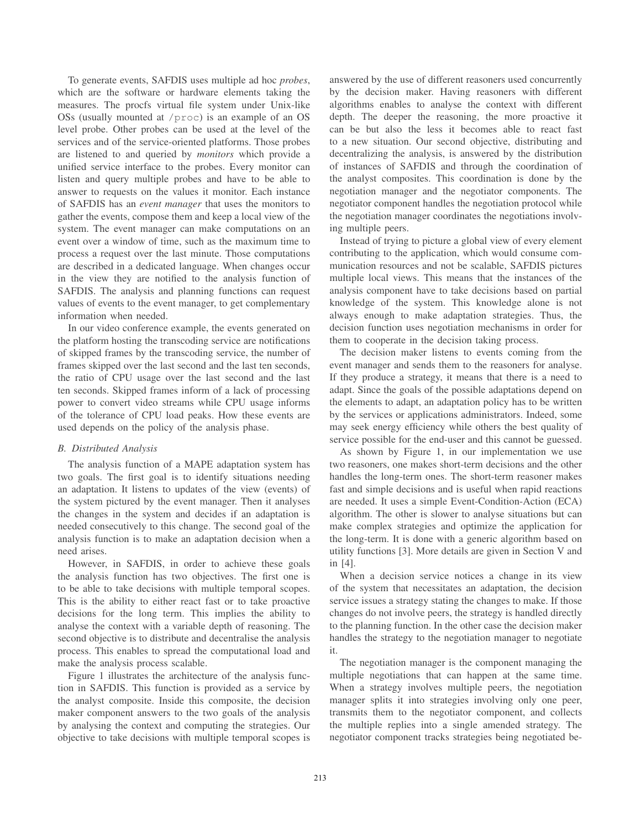To generate events, SAFDIS uses multiple ad hoc *probes*, which are the software or hardware elements taking the measures. The procfs virtual file system under Unix-like OSs (usually mounted at /proc) is an example of an OS level probe. Other probes can be used at the level of the services and of the service-oriented platforms. Those probes are listened to and queried by *monitors* which provide a unified service interface to the probes. Every monitor can listen and query multiple probes and have to be able to answer to requests on the values it monitor. Each instance of SAFDIS has an *event manager* that uses the monitors to gather the events, compose them and keep a local view of the system. The event manager can make computations on an event over a window of time, such as the maximum time to process a request over the last minute. Those computations are described in a dedicated language. When changes occur in the view they are notified to the analysis function of SAFDIS. The analysis and planning functions can request values of events to the event manager, to get complementary information when needed.

In our video conference example, the events generated on the platform hosting the transcoding service are notifications of skipped frames by the transcoding service, the number of frames skipped over the last second and the last ten seconds, the ratio of CPU usage over the last second and the last ten seconds. Skipped frames inform of a lack of processing power to convert video streams while CPU usage informs of the tolerance of CPU load peaks. How these events are used depends on the policy of the analysis phase.

# *B. Distributed Analysis*

The analysis function of a MAPE adaptation system has two goals. The first goal is to identify situations needing an adaptation. It listens to updates of the view (events) of the system pictured by the event manager. Then it analyses the changes in the system and decides if an adaptation is needed consecutively to this change. The second goal of the analysis function is to make an adaptation decision when a need arises.

However, in SAFDIS, in order to achieve these goals the analysis function has two objectives. The first one is to be able to take decisions with multiple temporal scopes. This is the ability to either react fast or to take proactive decisions for the long term. This implies the ability to analyse the context with a variable depth of reasoning. The second objective is to distribute and decentralise the analysis process. This enables to spread the computational load and make the analysis process scalable.

Figure 1 illustrates the architecture of the analysis function in SAFDIS. This function is provided as a service by the analyst composite. Inside this composite, the decision maker component answers to the two goals of the analysis by analysing the context and computing the strategies. Our objective to take decisions with multiple temporal scopes is answered by the use of different reasoners used concurrently by the decision maker. Having reasoners with different algorithms enables to analyse the context with different depth. The deeper the reasoning, the more proactive it can be but also the less it becomes able to react fast to a new situation. Our second objective, distributing and decentralizing the analysis, is answered by the distribution of instances of SAFDIS and through the coordination of the analyst composites. This coordination is done by the negotiation manager and the negotiator components. The negotiator component handles the negotiation protocol while the negotiation manager coordinates the negotiations involving multiple peers.

Instead of trying to picture a global view of every element contributing to the application, which would consume communication resources and not be scalable, SAFDIS pictures multiple local views. This means that the instances of the analysis component have to take decisions based on partial knowledge of the system. This knowledge alone is not always enough to make adaptation strategies. Thus, the decision function uses negotiation mechanisms in order for them to cooperate in the decision taking process.

The decision maker listens to events coming from the event manager and sends them to the reasoners for analyse. If they produce a strategy, it means that there is a need to adapt. Since the goals of the possible adaptations depend on the elements to adapt, an adaptation policy has to be written by the services or applications administrators. Indeed, some may seek energy efficiency while others the best quality of service possible for the end-user and this cannot be guessed.

As shown by Figure 1, in our implementation we use two reasoners, one makes short-term decisions and the other handles the long-term ones. The short-term reasoner makes fast and simple decisions and is useful when rapid reactions are needed. It uses a simple Event-Condition-Action (ECA) algorithm. The other is slower to analyse situations but can make complex strategies and optimize the application for the long-term. It is done with a generic algorithm based on utility functions [3]. More details are given in Section V and in [4].

When a decision service notices a change in its view of the system that necessitates an adaptation, the decision service issues a strategy stating the changes to make. If those changes do not involve peers, the strategy is handled directly to the planning function. In the other case the decision maker handles the strategy to the negotiation manager to negotiate it.

The negotiation manager is the component managing the multiple negotiations that can happen at the same time. When a strategy involves multiple peers, the negotiation manager splits it into strategies involving only one peer, transmits them to the negotiator component, and collects the multiple replies into a single amended strategy. The negotiator component tracks strategies being negotiated be-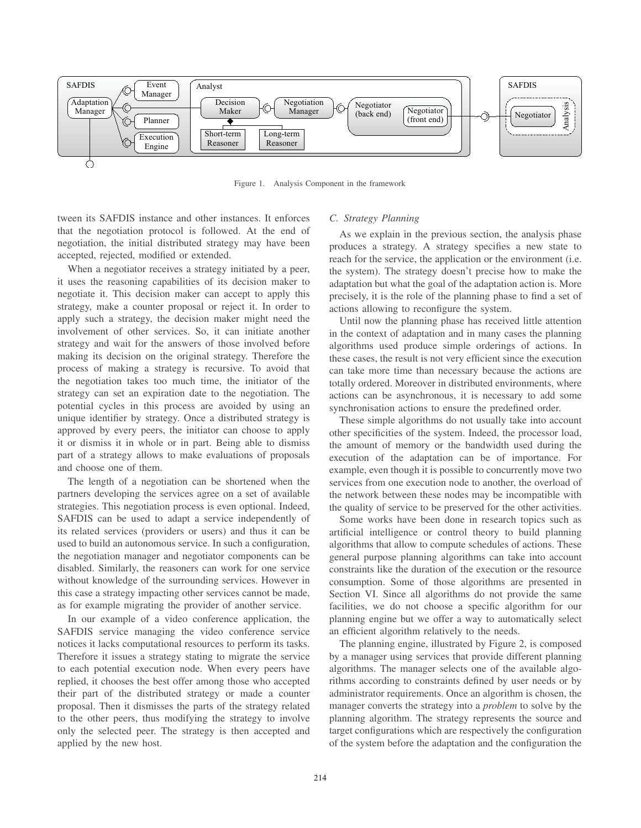

Figure 1. Analysis Component in the framework

tween its SAFDIS instance and other instances. It enforces that the negotiation protocol is followed. At the end of negotiation, the initial distributed strategy may have been accepted, rejected, modified or extended.

When a negotiator receives a strategy initiated by a peer, it uses the reasoning capabilities of its decision maker to negotiate it. This decision maker can accept to apply this strategy, make a counter proposal or reject it. In order to apply such a strategy, the decision maker might need the involvement of other services. So, it can initiate another strategy and wait for the answers of those involved before making its decision on the original strategy. Therefore the process of making a strategy is recursive. To avoid that the negotiation takes too much time, the initiator of the strategy can set an expiration date to the negotiation. The potential cycles in this process are avoided by using an unique identifier by strategy. Once a distributed strategy is approved by every peers, the initiator can choose to apply it or dismiss it in whole or in part. Being able to dismiss part of a strategy allows to make evaluations of proposals and choose one of them.

The length of a negotiation can be shortened when the partners developing the services agree on a set of available strategies. This negotiation process is even optional. Indeed, SAFDIS can be used to adapt a service independently of its related services (providers or users) and thus it can be used to build an autonomous service. In such a configuration, the negotiation manager and negotiator components can be disabled. Similarly, the reasoners can work for one service without knowledge of the surrounding services. However in this case a strategy impacting other services cannot be made, as for example migrating the provider of another service.

In our example of a video conference application, the SAFDIS service managing the video conference service notices it lacks computational resources to perform its tasks. Therefore it issues a strategy stating to migrate the service to each potential execution node. When every peers have replied, it chooses the best offer among those who accepted their part of the distributed strategy or made a counter proposal. Then it dismisses the parts of the strategy related to the other peers, thus modifying the strategy to involve only the selected peer. The strategy is then accepted and applied by the new host.

## *C. Strategy Planning*

As we explain in the previous section, the analysis phase produces a strategy. A strategy specifies a new state to reach for the service, the application or the environment (i.e. the system). The strategy doesn't precise how to make the adaptation but what the goal of the adaptation action is. More precisely, it is the role of the planning phase to find a set of actions allowing to reconfigure the system.

Until now the planning phase has received little attention in the context of adaptation and in many cases the planning algorithms used produce simple orderings of actions. In these cases, the result is not very efficient since the execution can take more time than necessary because the actions are totally ordered. Moreover in distributed environments, where actions can be asynchronous, it is necessary to add some synchronisation actions to ensure the predefined order.

These simple algorithms do not usually take into account other specificities of the system. Indeed, the processor load, the amount of memory or the bandwidth used during the execution of the adaptation can be of importance. For example, even though it is possible to concurrently move two services from one execution node to another, the overload of the network between these nodes may be incompatible with the quality of service to be preserved for the other activities.

Some works have been done in research topics such as artificial intelligence or control theory to build planning algorithms that allow to compute schedules of actions. These general purpose planning algorithms can take into account constraints like the duration of the execution or the resource consumption. Some of those algorithms are presented in Section VI. Since all algorithms do not provide the same facilities, we do not choose a specific algorithm for our planning engine but we offer a way to automatically select an efficient algorithm relatively to the needs.

The planning engine, illustrated by Figure 2, is composed by a manager using services that provide different planning algorithms. The manager selects one of the available algorithms according to constraints defined by user needs or by administrator requirements. Once an algorithm is chosen, the manager converts the strategy into a *problem* to solve by the planning algorithm. The strategy represents the source and target configurations which are respectively the configuration of the system before the adaptation and the configuration the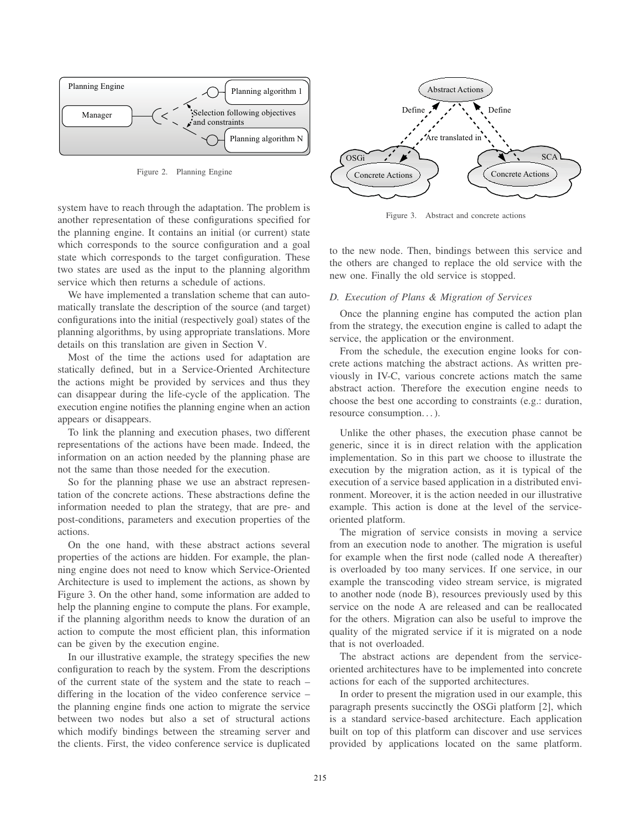

Figure 2. Planning Engine

system have to reach through the adaptation. The problem is another representation of these configurations specified for the planning engine. It contains an initial (or current) state which corresponds to the source configuration and a goal state which corresponds to the target configuration. These two states are used as the input to the planning algorithm service which then returns a schedule of actions.

We have implemented a translation scheme that can automatically translate the description of the source (and target) configurations into the initial (respectively goal) states of the planning algorithms, by using appropriate translations. More details on this translation are given in Section V.

Most of the time the actions used for adaptation are statically defined, but in a Service-Oriented Architecture the actions might be provided by services and thus they can disappear during the life-cycle of the application. The execution engine notifies the planning engine when an action appears or disappears.

To link the planning and execution phases, two different representations of the actions have been made. Indeed, the information on an action needed by the planning phase are not the same than those needed for the execution.

So for the planning phase we use an abstract representation of the concrete actions. These abstractions define the information needed to plan the strategy, that are pre- and post-conditions, parameters and execution properties of the actions.

On the one hand, with these abstract actions several properties of the actions are hidden. For example, the planning engine does not need to know which Service-Oriented Architecture is used to implement the actions, as shown by Figure 3. On the other hand, some information are added to help the planning engine to compute the plans. For example, if the planning algorithm needs to know the duration of an action to compute the most efficient plan, this information can be given by the execution engine.

In our illustrative example, the strategy specifies the new configuration to reach by the system. From the descriptions of the current state of the system and the state to reach – differing in the location of the video conference service – the planning engine finds one action to migrate the service between two nodes but also a set of structural actions which modify bindings between the streaming server and the clients. First, the video conference service is duplicated



Figure 3. Abstract and concrete actions

to the new node. Then, bindings between this service and the others are changed to replace the old service with the new one. Finally the old service is stopped.

#### *D. Execution of Plans & Migration of Services*

Once the planning engine has computed the action plan from the strategy, the execution engine is called to adapt the service, the application or the environment.

From the schedule, the execution engine looks for concrete actions matching the abstract actions. As written previously in IV-C, various concrete actions match the same abstract action. Therefore the execution engine needs to choose the best one according to constraints (e.g.: duration, resource consumption. . . ).

Unlike the other phases, the execution phase cannot be generic, since it is in direct relation with the application implementation. So in this part we choose to illustrate the execution by the migration action, as it is typical of the execution of a service based application in a distributed environment. Moreover, it is the action needed in our illustrative example. This action is done at the level of the serviceoriented platform.

The migration of service consists in moving a service from an execution node to another. The migration is useful for example when the first node (called node A thereafter) is overloaded by too many services. If one service, in our example the transcoding video stream service, is migrated to another node (node B), resources previously used by this service on the node A are released and can be reallocated for the others. Migration can also be useful to improve the quality of the migrated service if it is migrated on a node that is not overloaded.

The abstract actions are dependent from the serviceoriented architectures have to be implemented into concrete actions for each of the supported architectures.

In order to present the migration used in our example, this paragraph presents succinctly the OSGi platform [2], which is a standard service-based architecture. Each application built on top of this platform can discover and use services provided by applications located on the same platform.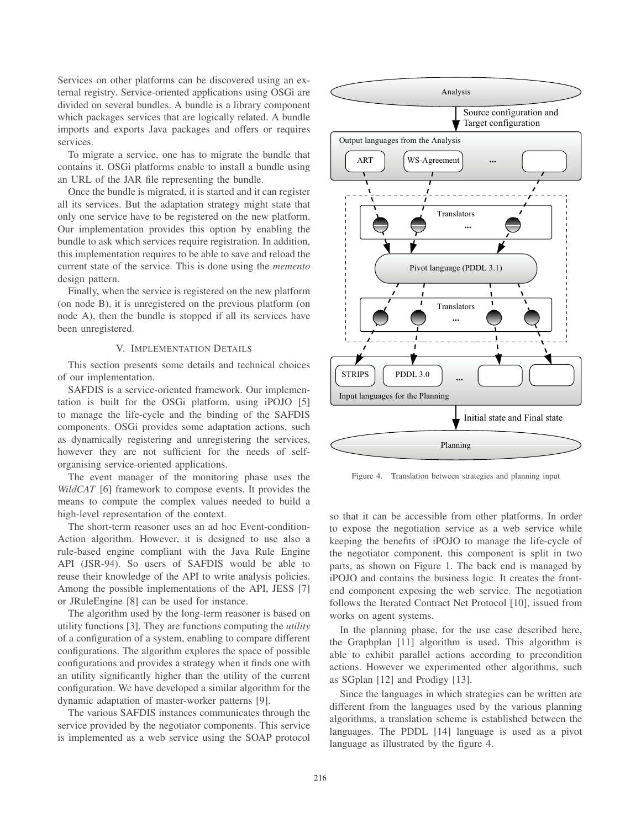Services on other platforms can be discovered using an external registry. Service-oriented applications using OSGi are divided on several bundles. A bundle is a library component which packages services that are logically related. A bundle imports and exports Java packages and offers or requires services.

To migrate a service, one has to migrate the bundle that contains it. OSGi platforms enable to install a bundle using an URL of the JAR file representing the bundle.

Once the bundle is migrated, it is started and it can register all its services. But the adaptation strategy might state that only one service have to be registered on the new platform. Our implementation provides this option by enabling the bundle to ask which services require registration. In addition, this implementation requires to be able to save and reload the current state of the service. This is done using the *memento* design pattern.

Finally, when the service is registered on the new platform (on node B), it is unregistered on the previous platform (on node A), then the bundle is stopped if all its services have been unregistered.

#### V. IMPLEMENTATION DETAILS

This section presents some details and technical choices of our implementation.

SAFDIS is a service-oriented framework. Our implementation is built for the OSGi platform, using iPOJO [5] to manage the life-cycle and the binding of the SAFDIS components. OSGi provides some adaptation actions, such as dynamically registering and unregistering the services, however they are not sufficient for the needs of selforganising service-oriented applications.

The event manager of the monitoring phase uses the *WildCAT* [6] framework to compose events. It provides the means to compute the complex values needed to build a high-level representation of the context.

The short-term reasoner uses an ad hoc Event-condition-Action algorithm. However, it is designed to use also a rule-based engine compliant with the Java Rule Engine API (JSR-94). So users of SAFDIS would be able to reuse their knowledge of the API to write analysis policies. Among the possible implementations of the API, JESS [7] or JRuleEngine [8] can be used for instance.

The algorithm used by the long-term reasoner is based on utility functions [3]. They are functions computing the *utility* of a configuration of a system, enabling to compare different configurations. The algorithm explores the space of possible configurations and provides a strategy when it finds one with an utility significantly higher than the utility of the current configuration. We have developed a similar algorithm for the dynamic adaptation of master-worker patterns [9].

The various SAFDIS instances communicates through the service provided by the negotiator components. This service is implemented as a web service using the SOAP protocol



Figure 4. Translation between strategies and planning input

so that it can be accessible from other platforms. In order to expose the negotiation service as a web service while keeping the benefits of iPOJO to manage the life-cycle of the negotiator component, this component is split in two parts, as shown on Figure 1. The back end is managed by iPOJO and contains the business logic. It creates the frontend component exposing the web service. The negotiation follows the Iterated Contract Net Protocol [10], issued from works on agent systems.

In the planning phase, for the use case described here, the Graphplan [11] algorithm is used. This algorithm is able to exhibit parallel actions according to precondition actions. However we experimented other algorithms, such as SGplan [12] and Prodigy [13].

Since the languages in which strategies can be written are different from the languages used by the various planning algorithms, a translation scheme is established between the languages. The PDDL [14] language is used as a pivot language as illustrated by the figure 4.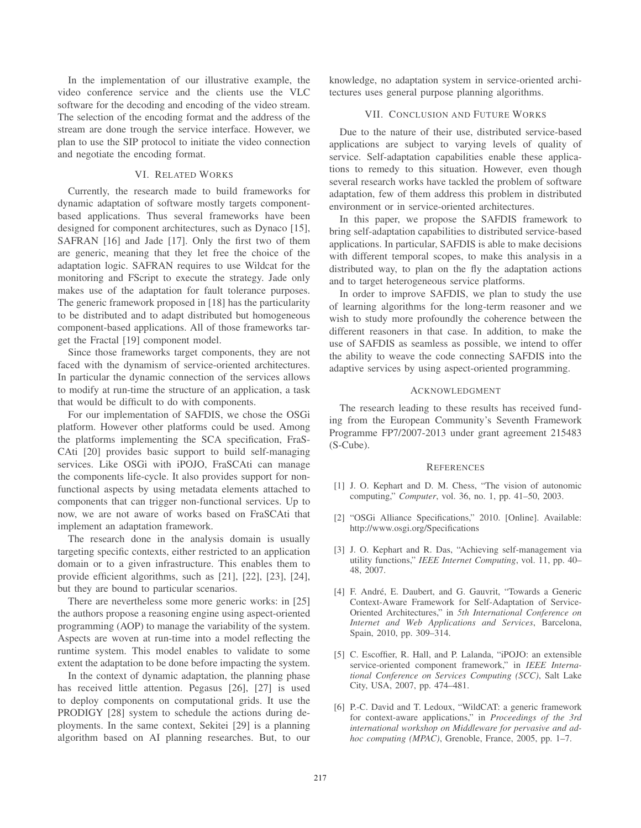In the implementation of our illustrative example, the video conference service and the clients use the VLC software for the decoding and encoding of the video stream. The selection of the encoding format and the address of the stream are done trough the service interface. However, we plan to use the SIP protocol to initiate the video connection and negotiate the encoding format.

# VI. RELATED WORKS

Currently, the research made to build frameworks for dynamic adaptation of software mostly targets componentbased applications. Thus several frameworks have been designed for component architectures, such as Dynaco [15], SAFRAN [16] and Jade [17]. Only the first two of them are generic, meaning that they let free the choice of the adaptation logic. SAFRAN requires to use Wildcat for the monitoring and FScript to execute the strategy. Jade only makes use of the adaptation for fault tolerance purposes. The generic framework proposed in [18] has the particularity to be distributed and to adapt distributed but homogeneous component-based applications. All of those frameworks target the Fractal [19] component model.

Since those frameworks target components, they are not faced with the dynamism of service-oriented architectures. In particular the dynamic connection of the services allows to modify at run-time the structure of an application, a task that would be difficult to do with components.

For our implementation of SAFDIS, we chose the OSGi platform. However other platforms could be used. Among the platforms implementing the SCA specification, FraS-CAti [20] provides basic support to build self-managing services. Like OSGi with iPOJO, FraSCAti can manage the components life-cycle. It also provides support for nonfunctional aspects by using metadata elements attached to components that can trigger non-functional services. Up to now, we are not aware of works based on FraSCAti that implement an adaptation framework.

The research done in the analysis domain is usually targeting specific contexts, either restricted to an application domain or to a given infrastructure. This enables them to provide efficient algorithms, such as [21], [22], [23], [24], but they are bound to particular scenarios.

There are nevertheless some more generic works: in [25] the authors propose a reasoning engine using aspect-oriented programming (AOP) to manage the variability of the system. Aspects are woven at run-time into a model reflecting the runtime system. This model enables to validate to some extent the adaptation to be done before impacting the system.

In the context of dynamic adaptation, the planning phase has received little attention. Pegasus [26], [27] is used to deploy components on computational grids. It use the PRODIGY [28] system to schedule the actions during deployments. In the same context, Sekitei [29] is a planning algorithm based on AI planning researches. But, to our knowledge, no adaptation system in service-oriented architectures uses general purpose planning algorithms.

# VII. CONCLUSION AND FUTURE WORKS

Due to the nature of their use, distributed service-based applications are subject to varying levels of quality of service. Self-adaptation capabilities enable these applications to remedy to this situation. However, even though several research works have tackled the problem of software adaptation, few of them address this problem in distributed environment or in service-oriented architectures.

In this paper, we propose the SAFDIS framework to bring self-adaptation capabilities to distributed service-based applications. In particular, SAFDIS is able to make decisions with different temporal scopes, to make this analysis in a distributed way, to plan on the fly the adaptation actions and to target heterogeneous service platforms.

In order to improve SAFDIS, we plan to study the use of learning algorithms for the long-term reasoner and we wish to study more profoundly the coherence between the different reasoners in that case. In addition, to make the use of SAFDIS as seamless as possible, we intend to offer the ability to weave the code connecting SAFDIS into the adaptive services by using aspect-oriented programming.

## ACKNOWLEDGMENT

The research leading to these results has received funding from the European Community's Seventh Framework Programme FP7/2007-2013 under grant agreement 215483 (S-Cube).

#### **REFERENCES**

- [1] J. O. Kephart and D. M. Chess, "The vision of autonomic computing," *Computer*, vol. 36, no. 1, pp. 41–50, 2003.
- [2] "OSGi Alliance Specifications," 2010. [Online]. Available: http://www.osgi.org/Specifications
- [3] J. O. Kephart and R. Das, "Achieving self-management via utility functions," *IEEE Internet Computing*, vol. 11, pp. 40– 48, 2007.
- [4] F. André, E. Daubert, and G. Gauvrit, "Towards a Generic Context-Aware Framework for Self-Adaptation of Service-Oriented Architectures," in *5th International Conference on Internet and Web Applications and Services*, Barcelona, Spain, 2010, pp. 309–314.
- [5] C. Escoffier, R. Hall, and P. Lalanda, "iPOJO: an extensible service-oriented component framework," in *IEEE International Conference on Services Computing (SCC)*, Salt Lake City, USA, 2007, pp. 474–481.
- [6] P.-C. David and T. Ledoux, "WildCAT: a generic framework for context-aware applications," in *Proceedings of the 3rd international workshop on Middleware for pervasive and adhoc computing (MPAC)*, Grenoble, France, 2005, pp. 1–7.